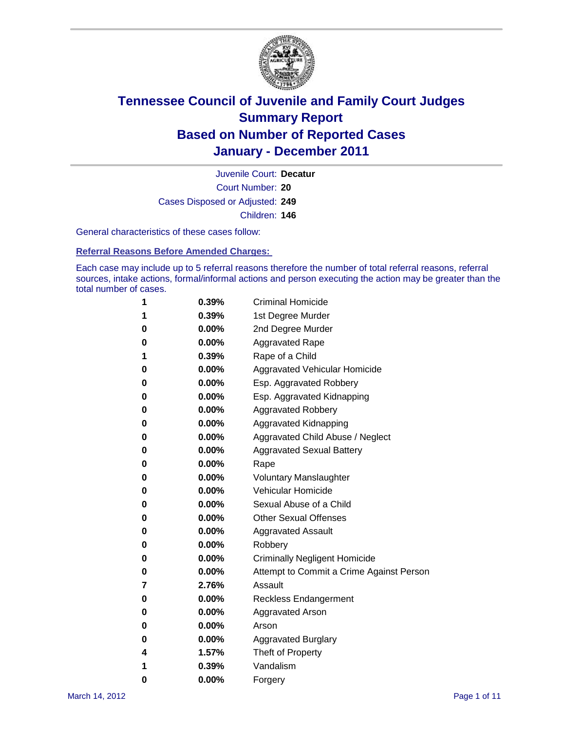

Court Number: **20** Juvenile Court: **Decatur** Cases Disposed or Adjusted: **249** Children: **146**

General characteristics of these cases follow:

**Referral Reasons Before Amended Charges:** 

Each case may include up to 5 referral reasons therefore the number of total referral reasons, referral sources, intake actions, formal/informal actions and person executing the action may be greater than the total number of cases.

| 1 | 0.39%    | <b>Criminal Homicide</b>                 |
|---|----------|------------------------------------------|
| 1 | 0.39%    | 1st Degree Murder                        |
| 0 | $0.00\%$ | 2nd Degree Murder                        |
| 0 | $0.00\%$ | <b>Aggravated Rape</b>                   |
| 1 | 0.39%    | Rape of a Child                          |
| 0 | $0.00\%$ | <b>Aggravated Vehicular Homicide</b>     |
| 0 | $0.00\%$ | Esp. Aggravated Robbery                  |
| 0 | $0.00\%$ | Esp. Aggravated Kidnapping               |
| 0 | $0.00\%$ | <b>Aggravated Robbery</b>                |
| 0 | $0.00\%$ | Aggravated Kidnapping                    |
| 0 | $0.00\%$ | Aggravated Child Abuse / Neglect         |
| 0 | 0.00%    | <b>Aggravated Sexual Battery</b>         |
| 0 | $0.00\%$ | Rape                                     |
| 0 | $0.00\%$ | <b>Voluntary Manslaughter</b>            |
| 0 | $0.00\%$ | Vehicular Homicide                       |
| 0 | $0.00\%$ | Sexual Abuse of a Child                  |
| 0 | $0.00\%$ | <b>Other Sexual Offenses</b>             |
| 0 | $0.00\%$ | <b>Aggravated Assault</b>                |
| 0 | 0.00%    | Robbery                                  |
| 0 | $0.00\%$ | <b>Criminally Negligent Homicide</b>     |
| 0 | $0.00\%$ | Attempt to Commit a Crime Against Person |
| 7 | 2.76%    | Assault                                  |
| 0 | $0.00\%$ | <b>Reckless Endangerment</b>             |
| 0 | $0.00\%$ | <b>Aggravated Arson</b>                  |
| 0 | $0.00\%$ | Arson                                    |
| 0 | $0.00\%$ | <b>Aggravated Burglary</b>               |
| 4 | 1.57%    | Theft of Property                        |
| 1 | $0.39\%$ | Vandalism                                |
| 0 | 0.00%    | Forgery                                  |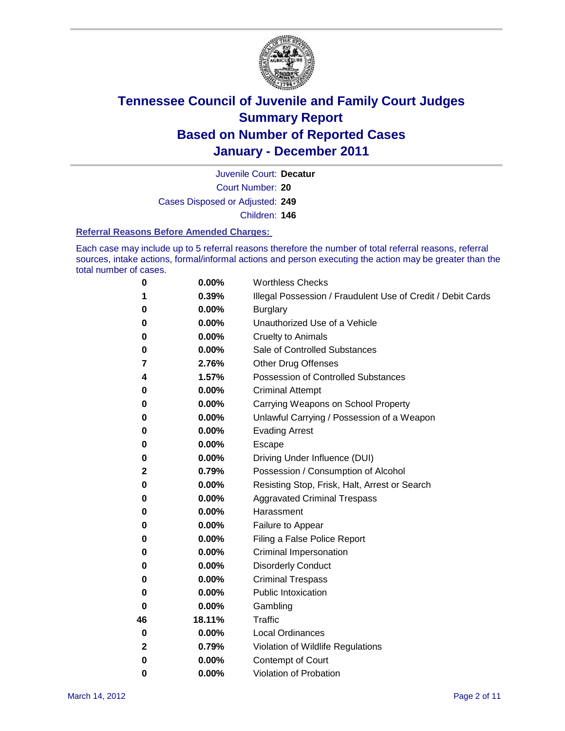

Court Number: **20** Juvenile Court: **Decatur** Cases Disposed or Adjusted: **249** Children: **146**

#### **Referral Reasons Before Amended Charges:**

Each case may include up to 5 referral reasons therefore the number of total referral reasons, referral sources, intake actions, formal/informal actions and person executing the action may be greater than the total number of cases.

| 0            | 0.00%    | <b>Worthless Checks</b>                                     |
|--------------|----------|-------------------------------------------------------------|
| 1            | 0.39%    | Illegal Possession / Fraudulent Use of Credit / Debit Cards |
| 0            | 0.00%    | <b>Burglary</b>                                             |
| 0            | 0.00%    | Unauthorized Use of a Vehicle                               |
| 0            | 0.00%    | <b>Cruelty to Animals</b>                                   |
| 0            | 0.00%    | Sale of Controlled Substances                               |
| 7            | 2.76%    | <b>Other Drug Offenses</b>                                  |
| 4            | 1.57%    | <b>Possession of Controlled Substances</b>                  |
| 0            | 0.00%    | <b>Criminal Attempt</b>                                     |
| 0            | 0.00%    | Carrying Weapons on School Property                         |
| 0            | 0.00%    | Unlawful Carrying / Possession of a Weapon                  |
| 0            | 0.00%    | <b>Evading Arrest</b>                                       |
| 0            | 0.00%    | Escape                                                      |
| 0            | 0.00%    | Driving Under Influence (DUI)                               |
| 2            | 0.79%    | Possession / Consumption of Alcohol                         |
| 0            | 0.00%    | Resisting Stop, Frisk, Halt, Arrest or Search               |
| 0            | 0.00%    | <b>Aggravated Criminal Trespass</b>                         |
| 0            | 0.00%    | Harassment                                                  |
| 0            | 0.00%    | Failure to Appear                                           |
| 0            | 0.00%    | Filing a False Police Report                                |
| 0            | 0.00%    | Criminal Impersonation                                      |
| 0            | 0.00%    | <b>Disorderly Conduct</b>                                   |
| 0            | 0.00%    | <b>Criminal Trespass</b>                                    |
| 0            | 0.00%    | <b>Public Intoxication</b>                                  |
| 0            | 0.00%    | Gambling                                                    |
| 46           | 18.11%   | <b>Traffic</b>                                              |
| 0            | 0.00%    | <b>Local Ordinances</b>                                     |
| $\mathbf{2}$ | 0.79%    | Violation of Wildlife Regulations                           |
| 0            | $0.00\%$ | Contempt of Court                                           |
| 0            | 0.00%    | Violation of Probation                                      |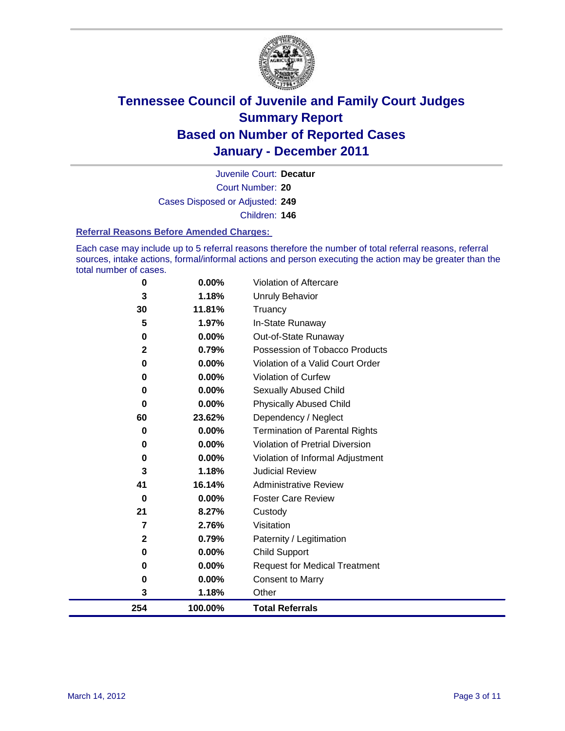

Court Number: **20** Juvenile Court: **Decatur** Cases Disposed or Adjusted: **249** Children: **146**

#### **Referral Reasons Before Amended Charges:**

Each case may include up to 5 referral reasons therefore the number of total referral reasons, referral sources, intake actions, formal/informal actions and person executing the action may be greater than the total number of cases.

| 254            | 100.00%  | <b>Total Referrals</b>                 |
|----------------|----------|----------------------------------------|
| 3              | 1.18%    | Other                                  |
| 0              | 0.00%    | <b>Consent to Marry</b>                |
| 0              | 0.00%    | <b>Request for Medical Treatment</b>   |
| 0              | 0.00%    | <b>Child Support</b>                   |
| $\mathbf{2}$   | 0.79%    | Paternity / Legitimation               |
| 7              | 2.76%    | Visitation                             |
| 21             | 8.27%    | Custody                                |
| 0              | 0.00%    | <b>Foster Care Review</b>              |
| 41             | 16.14%   | <b>Administrative Review</b>           |
| 3              | 1.18%    | <b>Judicial Review</b>                 |
| 0              | 0.00%    | Violation of Informal Adjustment       |
| 0              | $0.00\%$ | <b>Violation of Pretrial Diversion</b> |
| 0              | $0.00\%$ | Termination of Parental Rights         |
| 60             | 23.62%   | Dependency / Neglect                   |
| $\bf{0}$       | $0.00\%$ | <b>Physically Abused Child</b>         |
| 0              | 0.00%    | Sexually Abused Child                  |
| 0              | 0.00%    | Violation of Curfew                    |
| $\bf{0}$       | 0.00%    | Violation of a Valid Court Order       |
| $\overline{2}$ | 0.79%    | Possession of Tobacco Products         |
| 0              | 0.00%    | Out-of-State Runaway                   |
| 5              | 1.97%    | In-State Runaway                       |
| 30             | 11.81%   | Truancy                                |
| 3              | 1.18%    | <b>Unruly Behavior</b>                 |
| 0              | $0.00\%$ | <b>Violation of Aftercare</b>          |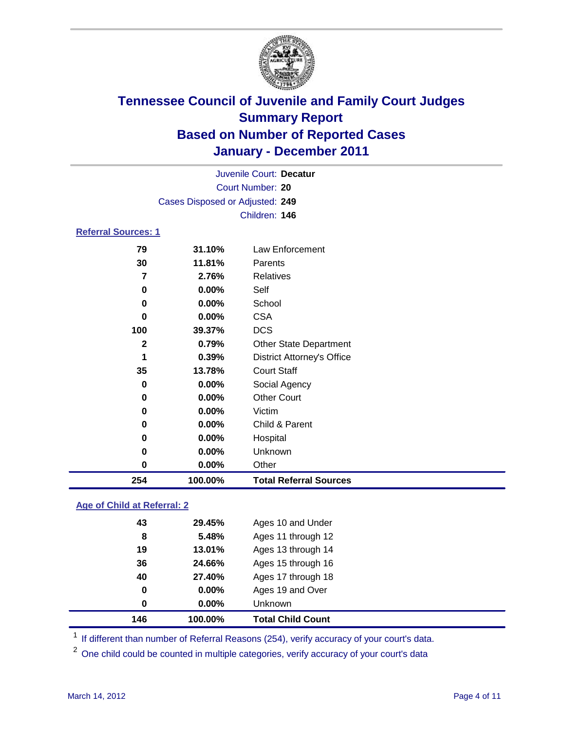

| Juvenile Court: Decatur    |                                 |                                   |  |  |  |
|----------------------------|---------------------------------|-----------------------------------|--|--|--|
|                            | <b>Court Number: 20</b>         |                                   |  |  |  |
|                            | Cases Disposed or Adjusted: 249 |                                   |  |  |  |
|                            | Children: 146                   |                                   |  |  |  |
| <b>Referral Sources: 1</b> |                                 |                                   |  |  |  |
| 79                         | 31.10%                          | Law Enforcement                   |  |  |  |
| 30                         | 11.81%                          | Parents                           |  |  |  |
| 7                          | 2.76%                           | <b>Relatives</b>                  |  |  |  |
| 0                          | 0.00%                           | Self                              |  |  |  |
| 0                          | 0.00%                           | School                            |  |  |  |
| 0                          | $0.00\%$                        | <b>CSA</b>                        |  |  |  |
| 100                        | 39.37%                          | <b>DCS</b>                        |  |  |  |
| $\mathbf{2}$               | 0.79%                           | <b>Other State Department</b>     |  |  |  |
| 1                          | 0.39%                           | <b>District Attorney's Office</b> |  |  |  |
| 35                         | 13.78%                          | <b>Court Staff</b>                |  |  |  |
| 0                          | $0.00\%$                        | Social Agency                     |  |  |  |
| 0                          | 0.00%                           | <b>Other Court</b>                |  |  |  |
| 0                          | 0.00%                           | Victim                            |  |  |  |
| 0                          | $0.00\%$                        | Child & Parent                    |  |  |  |
| 0                          | 0.00%                           | Hospital                          |  |  |  |
| 0                          | 0.00%                           | Unknown                           |  |  |  |
| 0                          | 0.00%                           | Other                             |  |  |  |
| 254                        | 100.00%                         | <b>Total Referral Sources</b>     |  |  |  |

### **Age of Child at Referral: 2**

| 36<br>40<br>0<br>0 | 13.01%<br>24.66%<br>27.40%<br>0.00%<br>$0.00\%$ | Ages 13 through 14<br>Ages 15 through 16<br>Ages 17 through 18<br>Ages 19 and Over<br><b>Unknown</b> |
|--------------------|-------------------------------------------------|------------------------------------------------------------------------------------------------------|
|                    |                                                 |                                                                                                      |
|                    |                                                 |                                                                                                      |
|                    |                                                 |                                                                                                      |
|                    |                                                 |                                                                                                      |
| 19                 |                                                 |                                                                                                      |
| 8                  | 5.48%                                           | Ages 11 through 12                                                                                   |
|                    | 29.45%                                          | Ages 10 and Under                                                                                    |
|                    | 43                                              |                                                                                                      |

<sup>1</sup> If different than number of Referral Reasons (254), verify accuracy of your court's data.

<sup>2</sup> One child could be counted in multiple categories, verify accuracy of your court's data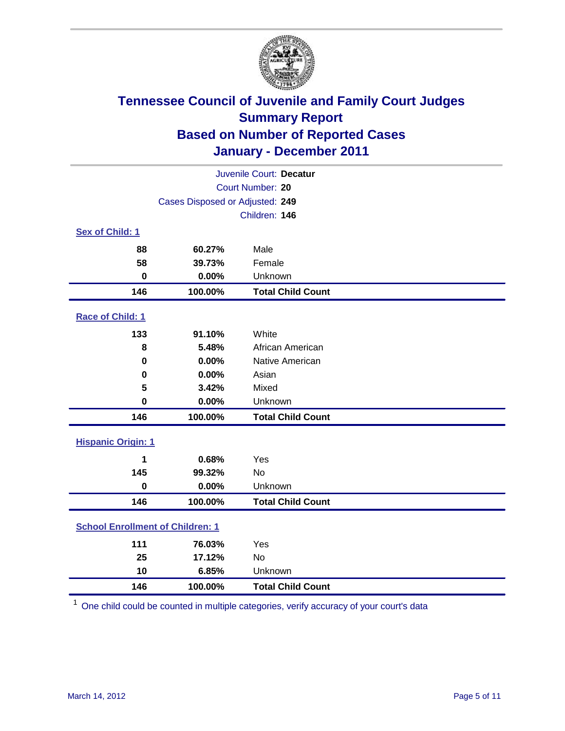

| Juvenile Court: Decatur                 |                                 |                          |  |
|-----------------------------------------|---------------------------------|--------------------------|--|
| <b>Court Number: 20</b>                 |                                 |                          |  |
|                                         | Cases Disposed or Adjusted: 249 |                          |  |
|                                         |                                 | Children: 146            |  |
| Sex of Child: 1                         |                                 |                          |  |
| 88                                      | 60.27%                          | Male                     |  |
| 58                                      | 39.73%                          | Female                   |  |
| $\mathbf 0$                             | 0.00%                           | Unknown                  |  |
| 146                                     | 100.00%                         | <b>Total Child Count</b> |  |
| Race of Child: 1                        |                                 |                          |  |
| 133                                     | 91.10%                          | White                    |  |
| 8                                       | 5.48%                           | African American         |  |
| $\mathbf 0$                             | 0.00%                           | Native American          |  |
| 0                                       | 0.00%                           | Asian                    |  |
| 5                                       | 3.42%                           | Mixed                    |  |
| $\mathbf 0$                             | 0.00%                           | Unknown                  |  |
| 146                                     | 100.00%                         | <b>Total Child Count</b> |  |
| <b>Hispanic Origin: 1</b>               |                                 |                          |  |
| 1                                       | 0.68%                           | Yes                      |  |
| 145                                     | 99.32%                          | No                       |  |
| $\mathbf 0$                             | 0.00%                           | Unknown                  |  |
| 146                                     | 100.00%                         | <b>Total Child Count</b> |  |
| <b>School Enrollment of Children: 1</b> |                                 |                          |  |
| 111                                     | 76.03%                          | Yes                      |  |
| 25                                      | 17.12%                          | No                       |  |
| 10                                      | 6.85%                           | Unknown                  |  |
| 146                                     | 100.00%                         | <b>Total Child Count</b> |  |

One child could be counted in multiple categories, verify accuracy of your court's data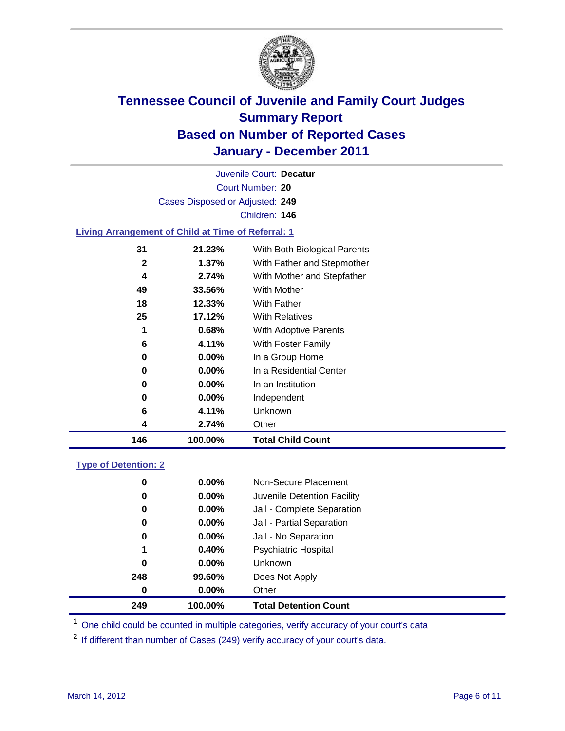

Court Number: **20** Juvenile Court: **Decatur** Cases Disposed or Adjusted: **249** Children: **146**

#### **Living Arrangement of Child at Time of Referral: 1**

| 146 | 100.00%  | <b>Total Child Count</b>     |
|-----|----------|------------------------------|
| 4   | 2.74%    | Other                        |
| 6   | 4.11%    | Unknown                      |
| 0   | $0.00\%$ | Independent                  |
| 0   | $0.00\%$ | In an Institution            |
| 0   | $0.00\%$ | In a Residential Center      |
| 0   | $0.00\%$ | In a Group Home              |
| 6   | 4.11%    | With Foster Family           |
| 1   | 0.68%    | With Adoptive Parents        |
| 25  | 17.12%   | <b>With Relatives</b>        |
| 18  | 12.33%   | With Father                  |
| 49  | 33.56%   | With Mother                  |
| 4   | 2.74%    | With Mother and Stepfather   |
| 2   | 1.37%    | With Father and Stepmother   |
| 31  | 21.23%   | With Both Biological Parents |
|     |          |                              |

#### **Type of Detention: 2**

| 249      | 100.00%  | <b>Total Detention Count</b> |  |
|----------|----------|------------------------------|--|
| 0        | $0.00\%$ | Other                        |  |
| 248      | 99.60%   | Does Not Apply               |  |
| $\bf{0}$ | $0.00\%$ | <b>Unknown</b>               |  |
| 1        | 0.40%    | <b>Psychiatric Hospital</b>  |  |
| 0        | 0.00%    | Jail - No Separation         |  |
| 0        | $0.00\%$ | Jail - Partial Separation    |  |
| 0        | $0.00\%$ | Jail - Complete Separation   |  |
| 0        | $0.00\%$ | Juvenile Detention Facility  |  |
| 0        | $0.00\%$ | Non-Secure Placement         |  |
|          |          |                              |  |

<sup>1</sup> One child could be counted in multiple categories, verify accuracy of your court's data

<sup>2</sup> If different than number of Cases (249) verify accuracy of your court's data.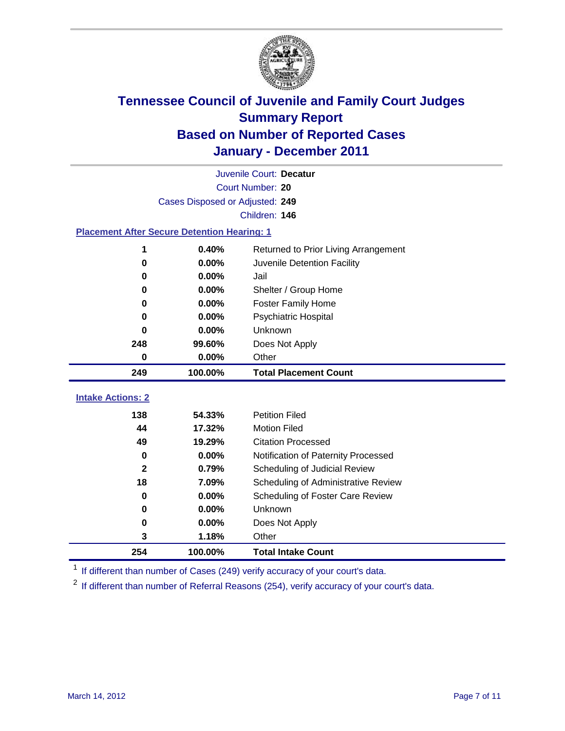

|                                                    | Juvenile Court: Decatur         |                                      |  |  |  |
|----------------------------------------------------|---------------------------------|--------------------------------------|--|--|--|
|                                                    | Court Number: 20                |                                      |  |  |  |
|                                                    | Cases Disposed or Adjusted: 249 |                                      |  |  |  |
|                                                    | Children: 146                   |                                      |  |  |  |
| <b>Placement After Secure Detention Hearing: 1</b> |                                 |                                      |  |  |  |
| 1                                                  | 0.40%                           | Returned to Prior Living Arrangement |  |  |  |
| $\bf{0}$                                           | 0.00%                           | Juvenile Detention Facility          |  |  |  |
| 0                                                  | 0.00%                           | Jail                                 |  |  |  |
| 0                                                  | 0.00%                           | Shelter / Group Home                 |  |  |  |
| $\bf{0}$                                           | 0.00%                           | Foster Family Home                   |  |  |  |
| 0                                                  | 0.00%                           | Psychiatric Hospital                 |  |  |  |
| 0                                                  | 0.00%                           | Unknown                              |  |  |  |
| 248                                                | 99.60%                          | Does Not Apply                       |  |  |  |
| $\mathbf 0$                                        | 0.00%                           | Other                                |  |  |  |
| 249                                                | 100.00%                         | <b>Total Placement Count</b>         |  |  |  |
| <b>Intake Actions: 2</b>                           |                                 |                                      |  |  |  |
| 138                                                | 54.33%                          | <b>Petition Filed</b>                |  |  |  |
| 44                                                 | 17.32%                          | <b>Motion Filed</b>                  |  |  |  |
| 49                                                 | 19.29%                          | <b>Citation Processed</b>            |  |  |  |
| $\bf{0}$                                           | 0.00%                           | Notification of Paternity Processed  |  |  |  |
| $\overline{2}$                                     | 0.79%                           | Scheduling of Judicial Review        |  |  |  |
| 18                                                 | 7.09%                           | Scheduling of Administrative Review  |  |  |  |
| 0                                                  | 0.00%                           | Scheduling of Foster Care Review     |  |  |  |
| 0                                                  | 0.00%                           | <b>Unknown</b>                       |  |  |  |
| $\bf{0}$                                           | 0.00%                           | Does Not Apply                       |  |  |  |
| 3                                                  | 1.18%                           | Other                                |  |  |  |
| 254                                                | 100.00%                         | <b>Total Intake Count</b>            |  |  |  |

<sup>1</sup> If different than number of Cases (249) verify accuracy of your court's data.

<sup>2</sup> If different than number of Referral Reasons (254), verify accuracy of your court's data.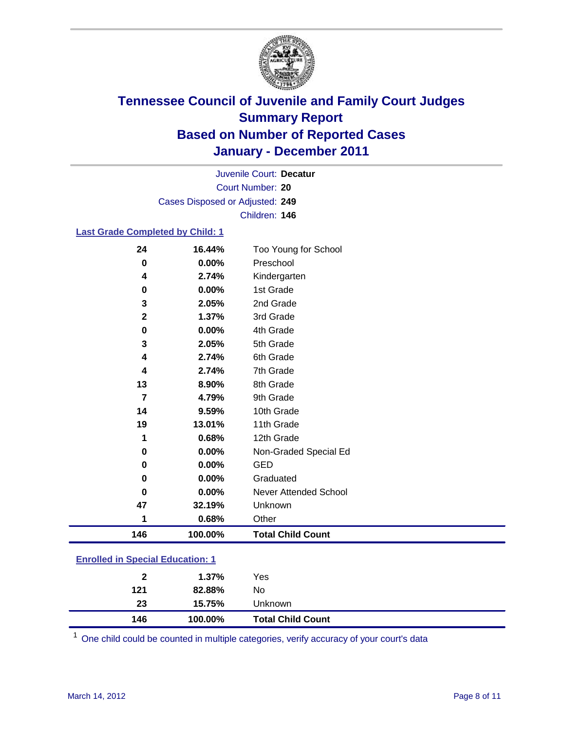

Court Number: **20** Juvenile Court: **Decatur** Cases Disposed or Adjusted: **249** Children: **146**

#### **Last Grade Completed by Child: 1**

| 24                                      | 16.44%  | Too Young for School         |  |
|-----------------------------------------|---------|------------------------------|--|
| $\bf{0}$                                | 0.00%   | Preschool                    |  |
| 4                                       | 2.74%   | Kindergarten                 |  |
| 0                                       | 0.00%   | 1st Grade                    |  |
| 3                                       | 2.05%   | 2nd Grade                    |  |
| $\mathbf{2}$                            | 1.37%   | 3rd Grade                    |  |
| $\pmb{0}$                               | 0.00%   | 4th Grade                    |  |
| 3                                       | 2.05%   | 5th Grade                    |  |
| 4                                       | 2.74%   | 6th Grade                    |  |
| 4                                       | 2.74%   | 7th Grade                    |  |
| 13                                      | 8.90%   | 8th Grade                    |  |
| $\overline{7}$                          | 4.79%   | 9th Grade                    |  |
| 14                                      | 9.59%   | 10th Grade                   |  |
| 19                                      | 13.01%  | 11th Grade                   |  |
| 1                                       | 0.68%   | 12th Grade                   |  |
| 0                                       | 0.00%   | Non-Graded Special Ed        |  |
| 0                                       | 0.00%   | <b>GED</b>                   |  |
| 0                                       | 0.00%   | Graduated                    |  |
| 0                                       | 0.00%   | <b>Never Attended School</b> |  |
| 47                                      | 32.19%  | Unknown                      |  |
| 1                                       | 0.68%   | Other                        |  |
| 146                                     | 100.00% | <b>Total Child Count</b>     |  |
| <b>Enrolled in Special Education: 1</b> |         |                              |  |

| 146           | 100.00% | <b>Total Child Count</b> |  |
|---------------|---------|--------------------------|--|
| 23            | 15.75%  | Unknown                  |  |
| 121           | 82.88%  | No.                      |  |
| $\mathbf{2}$  | 1.37%   | Yes                      |  |
| ------------- |         |                          |  |

One child could be counted in multiple categories, verify accuracy of your court's data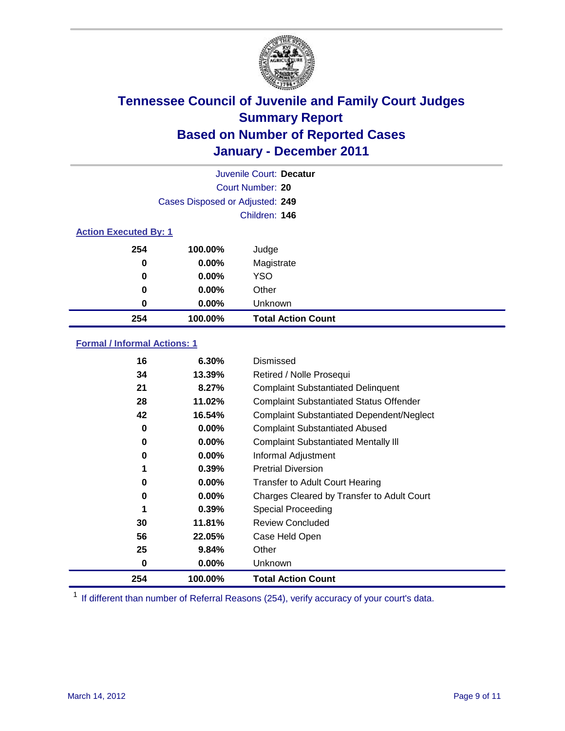

|                              |                                 | Juvenile Court: Decatur   |
|------------------------------|---------------------------------|---------------------------|
|                              |                                 | Court Number: 20          |
|                              | Cases Disposed or Adjusted: 249 |                           |
|                              |                                 | Children: 146             |
| <b>Action Executed By: 1</b> |                                 |                           |
| 254                          | 100.00%                         | Judge                     |
| 0                            | $0.00\%$                        | Magistrate                |
| 0                            | $0.00\%$                        | <b>YSO</b>                |
| 0                            | 0.00%                           | Other                     |
| 0                            | 0.00%                           | Unknown                   |
| 254                          | 100.00%                         | <b>Total Action Count</b> |

### **Formal / Informal Actions: 1**

| 16  | 6.30%    | Dismissed                                        |
|-----|----------|--------------------------------------------------|
| 34  | 13.39%   | Retired / Nolle Prosequi                         |
| 21  | 8.27%    | <b>Complaint Substantiated Delinquent</b>        |
| 28  | 11.02%   | <b>Complaint Substantiated Status Offender</b>   |
| 42  | 16.54%   | <b>Complaint Substantiated Dependent/Neglect</b> |
| 0   | $0.00\%$ | <b>Complaint Substantiated Abused</b>            |
| 0   | $0.00\%$ | <b>Complaint Substantiated Mentally III</b>      |
| 0   | $0.00\%$ | Informal Adjustment                              |
| 1   | 0.39%    | <b>Pretrial Diversion</b>                        |
| 0   | $0.00\%$ | <b>Transfer to Adult Court Hearing</b>           |
| 0   | $0.00\%$ | Charges Cleared by Transfer to Adult Court       |
|     | 0.39%    | <b>Special Proceeding</b>                        |
| 30  | 11.81%   | <b>Review Concluded</b>                          |
| 56  | 22.05%   | Case Held Open                                   |
| 25  | 9.84%    | Other                                            |
| 0   | $0.00\%$ | Unknown                                          |
| 254 | 100.00%  | <b>Total Action Count</b>                        |

<sup>1</sup> If different than number of Referral Reasons (254), verify accuracy of your court's data.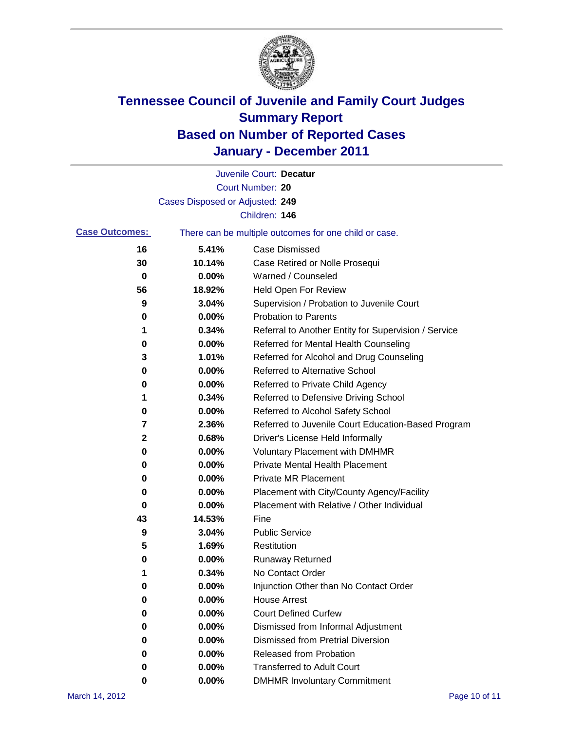

|                       |                                 | Juvenile Court: Decatur                               |
|-----------------------|---------------------------------|-------------------------------------------------------|
|                       |                                 | Court Number: 20                                      |
|                       | Cases Disposed or Adjusted: 249 |                                                       |
|                       |                                 | Children: 146                                         |
| <b>Case Outcomes:</b> |                                 | There can be multiple outcomes for one child or case. |
| 16                    | 5.41%                           | <b>Case Dismissed</b>                                 |
| 30                    | 10.14%                          | Case Retired or Nolle Prosequi                        |
| 0                     | 0.00%                           | Warned / Counseled                                    |
| 56                    | 18.92%                          | Held Open For Review                                  |
| 9                     | 3.04%                           | Supervision / Probation to Juvenile Court             |
| 0                     | 0.00%                           | <b>Probation to Parents</b>                           |
| 1                     | 0.34%                           | Referral to Another Entity for Supervision / Service  |
| 0                     | 0.00%                           | Referred for Mental Health Counseling                 |
| 3                     | 1.01%                           | Referred for Alcohol and Drug Counseling              |
| 0                     | 0.00%                           | <b>Referred to Alternative School</b>                 |
| 0                     | 0.00%                           | Referred to Private Child Agency                      |
| 1                     | 0.34%                           | Referred to Defensive Driving School                  |
| 0                     | 0.00%                           | Referred to Alcohol Safety School                     |
| 7                     | 2.36%                           | Referred to Juvenile Court Education-Based Program    |
| 2                     | 0.68%                           | Driver's License Held Informally                      |
| 0                     | 0.00%                           | <b>Voluntary Placement with DMHMR</b>                 |
| 0                     | 0.00%                           | <b>Private Mental Health Placement</b>                |
| 0                     | 0.00%                           | <b>Private MR Placement</b>                           |
| 0                     | 0.00%                           | Placement with City/County Agency/Facility            |
| 0                     | 0.00%                           | Placement with Relative / Other Individual            |
| 43                    | 14.53%                          | Fine                                                  |
| 9                     | 3.04%                           | <b>Public Service</b>                                 |
| 5                     | 1.69%                           | Restitution                                           |
| 0                     | 0.00%                           | <b>Runaway Returned</b>                               |
| 1                     | 0.34%                           | No Contact Order                                      |
| 0                     | 0.00%                           | Injunction Other than No Contact Order                |
| 0                     | 0.00%                           | <b>House Arrest</b>                                   |
| 0                     | 0.00%                           | <b>Court Defined Curfew</b>                           |
| 0                     | 0.00%                           | Dismissed from Informal Adjustment                    |
| 0                     | 0.00%                           | <b>Dismissed from Pretrial Diversion</b>              |
| 0                     | 0.00%                           | Released from Probation                               |
| 0                     | 0.00%                           | <b>Transferred to Adult Court</b>                     |
| 0                     | $0.00\%$                        | <b>DMHMR Involuntary Commitment</b>                   |